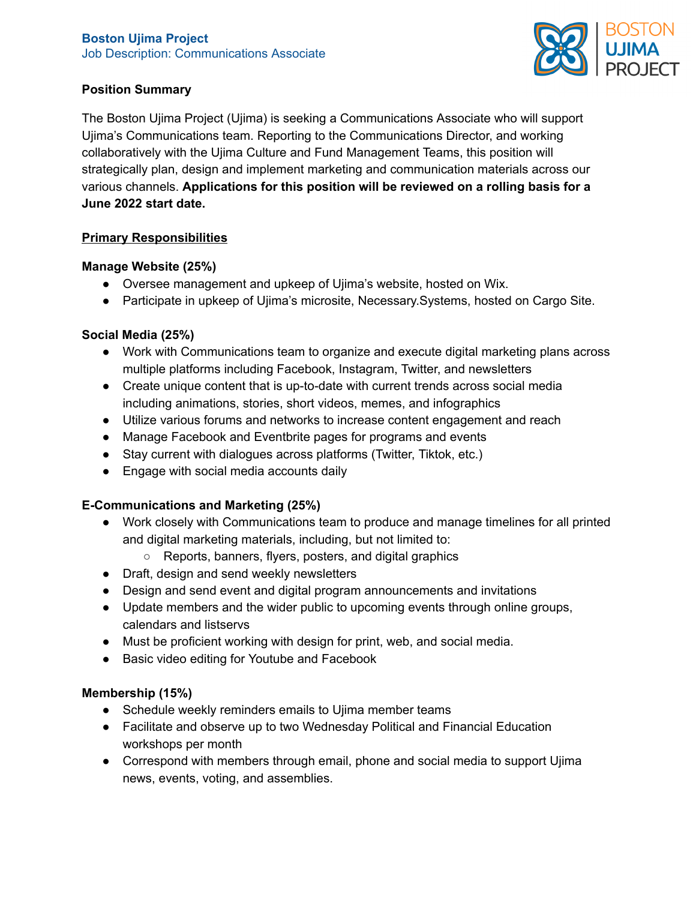

## **Position Summary**

The Boston Ujima Project (Ujima) is seeking a Communications Associate who will support Ujima's Communications team. Reporting to the Communications Director, and working collaboratively with the Ujima Culture and Fund Management Teams, this position will strategically plan, design and implement marketing and communication materials across our various channels. **Applications for this position will be reviewed on a rolling basis for a June 2022 start date.**

# **Primary Responsibilities**

# **Manage Website (25%)**

- Oversee management and upkeep of Ujima's website, hosted on Wix.
- Participate in upkeep of Ujima's microsite, Necessary. Systems, hosted on Cargo Site.

# **Social Media (25%)**

- Work with Communications team to organize and execute digital marketing plans across multiple platforms including Facebook, Instagram, Twitter, and newsletters
- Create unique content that is up-to-date with current trends across social media including animations, stories, short videos, memes, and infographics
- Utilize various forums and networks to increase content engagement and reach
- Manage Facebook and Eventbrite pages for programs and events
- Stay current with dialogues across platforms (Twitter, Tiktok, etc.)
- Engage with social media accounts daily

### **E-Communications and Marketing (25%)**

- Work closely with Communications team to produce and manage timelines for all printed and digital marketing materials, including, but not limited to:
	- Reports, banners, flyers, posters, and digital graphics
- Draft, design and send weekly newsletters
- Design and send event and digital program announcements and invitations
- Update members and the wider public to upcoming events through online groups, calendars and listservs
- Must be proficient working with design for print, web, and social media.
- Basic video editing for Youtube and Facebook

### **Membership (15%)**

- Schedule weekly reminders emails to Ujima member teams
- Facilitate and observe up to two Wednesday Political and Financial Education workshops per month
- Correspond with members through email, phone and social media to support Ujima news, events, voting, and assemblies.